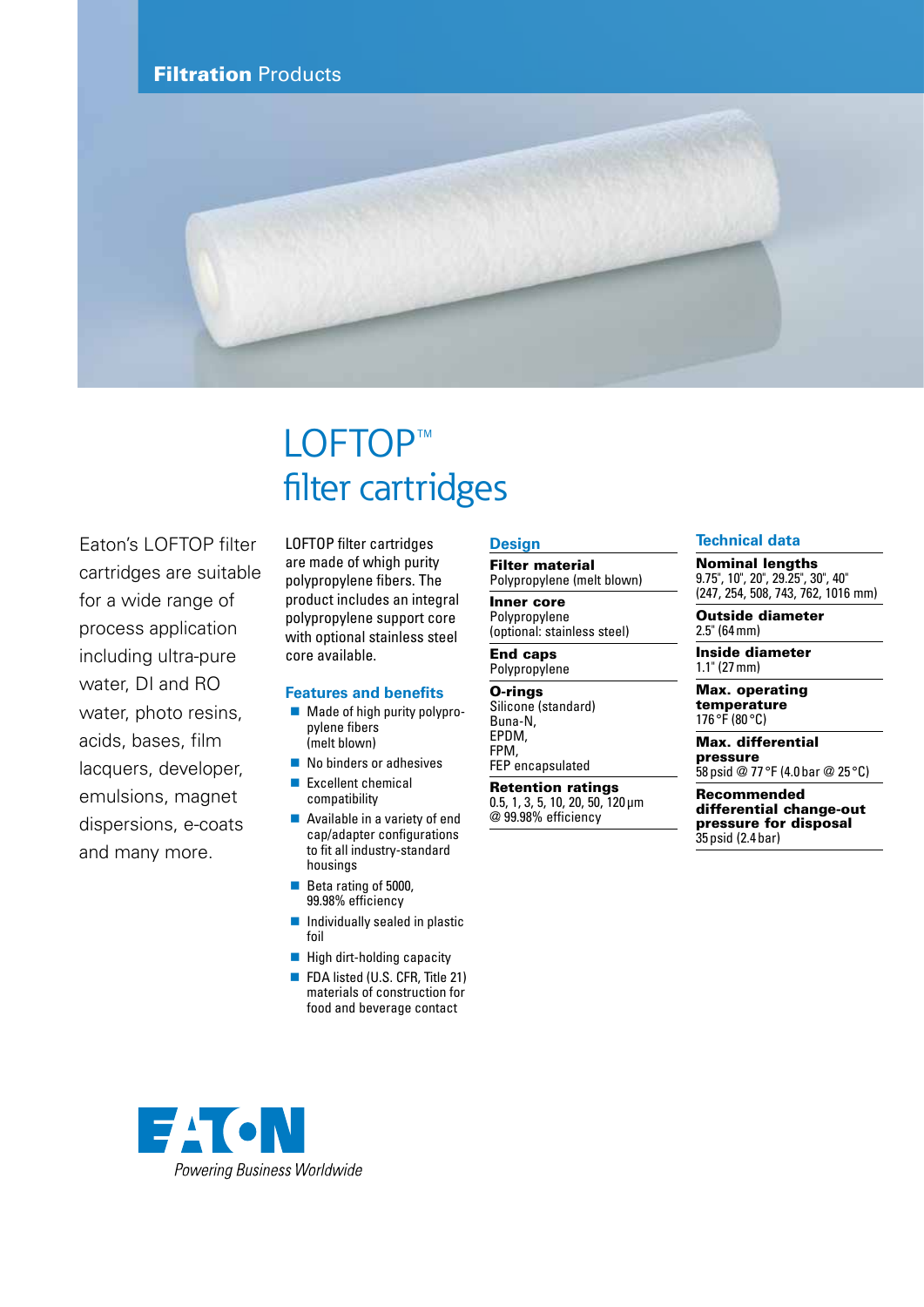

# LOFTOP™ filter cartridges

Eaton's LOFTOP filter cartridges are suitable for a wide range of process application including ultra-pure water, DI and RO water, photo resins, acids, bases, film lacquers, developer, emulsions, magnet dispersions, e-coats and many more.

LOFTOP filter cartridges are made of whigh purity polypropylene fibers. The product includes an integral polypropylene support core with optional stainless steel core available.

## **Features and benefits**

- Made of high purity polypropylene fibers (melt blown)
- No binders or adhesives
- Excellent chemical compatibility
- Available in a variety of end cap/adapter configurations to fit all industry-standard housings
- Beta rating of 5000, 99.98% efficiency
- $\blacksquare$  Individually sealed in plastic foil
- $\blacksquare$  High dirt-holding capacity
- FDA listed (U.S. CFR, Title 21) materials of construction for food and beverage contact

# **Design**

Filter material Polypropylene (melt blown)

Inner core Polypropylene (optional: stainless steel)

#### End caps Polypropylene

O-rings Silicone (standard) Buna-N, EPDM, FPM, FEP encapsulated

Retention ratings 0.5, 1, 3, 5, 10, 20, 50, 120μm

@ 99.98% efficiency

### **Technical data**

Nominal lengths

9.75", 10", 20", 29.25", 30", 40" (247, 254, 508, 743, 762, 1016 mm)

Outside diameter 2.5" (64mm)

Inside diameter 1.1" (27mm)

Max. operating temperature 176 °F (80 °C)

Max. differential pressure 58 psid @ 77 °F (4.0bar @ 25 °C)

Recommended

differential change-out pressure for disposal 35 psid (2.4bar)